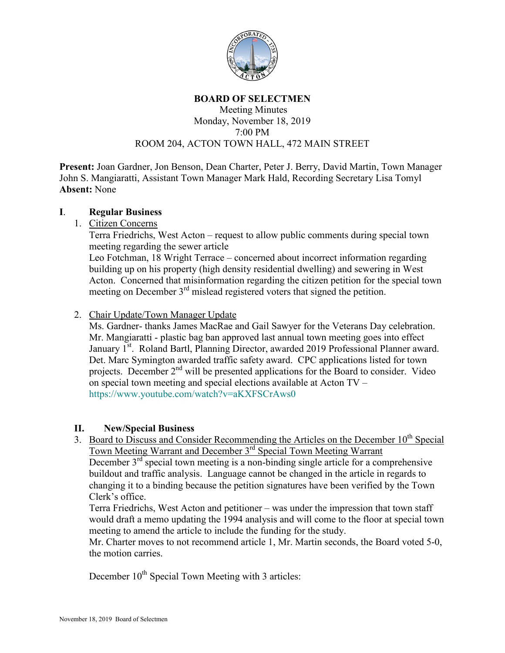

### **BOARD OF SELECTMEN**

#### Meeting Minutes Monday, November 18, 2019 7:00 PM ROOM 204, ACTON TOWN HALL, 472 MAIN STREET

**Present:** Joan Gardner, Jon Benson, Dean Charter, Peter J. Berry, David Martin, Town Manager John S. Mangiaratti, Assistant Town Manager Mark Hald, Recording Secretary Lisa Tomyl **Absent:** None

#### **I**. **Regular Business**

1. Citizen Concerns

Terra Friedrichs, West Acton – request to allow public comments during special town meeting regarding the sewer article

Leo Fotchman, 18 Wright Terrace – concerned about incorrect information regarding building up on his property (high density residential dwelling) and sewering in West Acton. Concerned that misinformation regarding the citizen petition for the special town meeting on December 3rd mislead registered voters that signed the petition.

2. Chair Update/Town Manager Update

Ms. Gardner- thanks James MacRae and Gail Sawyer for the Veterans Day celebration. Mr. Mangiaratti - plastic bag ban approved last annual town meeting goes into effect January 1<sup>st</sup>. Roland Bartl, Planning Director, awarded 2019 Professional Planner award. Det. Marc Symington awarded traffic safety award. CPC applications listed for town projects. December  $2<sup>nd</sup>$  will be presented applications for the Board to consider. Video on special town meeting and special elections available at Acton TV – <https://www.youtube.com/watch?v=aKXFSCrAws0>

# **II. New/Special Business**

3. Board to Discuss and Consider Recommending the Articles on the December 10<sup>th</sup> Special Town Meeting Warrant and December 3rd Special Town Meeting Warrant December  $3<sup>rd</sup>$  special town meeting is a non-binding single article for a comprehensive buildout and traffic analysis. Language cannot be changed in the article in regards to changing it to a binding because the petition signatures have been verified by the Town Clerk's office.

Terra Friedrichs, West Acton and petitioner – was under the impression that town staff would draft a memo updating the 1994 analysis and will come to the floor at special town meeting to amend the article to include the funding for the study.

Mr. Charter moves to not recommend article 1, Mr. Martin seconds, the Board voted 5-0, the motion carries.

December 10<sup>th</sup> Special Town Meeting with 3 articles: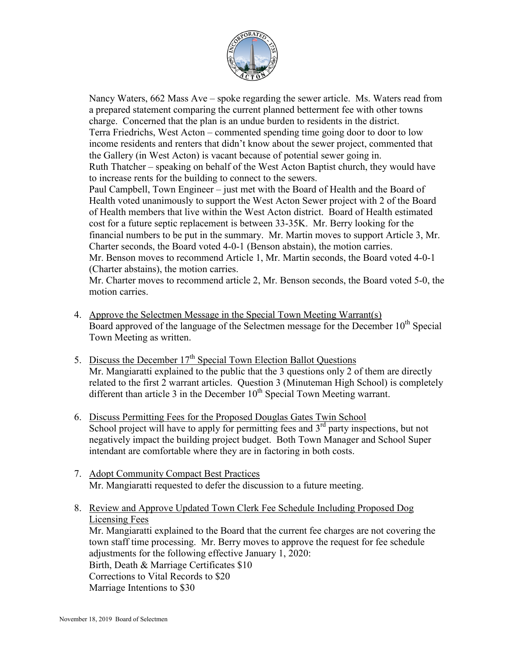

Nancy Waters, 662 Mass Ave – spoke regarding the sewer article. Ms. Waters read from a prepared statement comparing the current planned betterment fee with other towns charge. Concerned that the plan is an undue burden to residents in the district. Terra Friedrichs, West Acton – commented spending time going door to door to low income residents and renters that didn't know about the sewer project, commented that the Gallery (in West Acton) is vacant because of potential sewer going in. Ruth Thatcher – speaking on behalf of the West Acton Baptist church, they would have to increase rents for the building to connect to the sewers. Paul Campbell, Town Engineer – just met with the Board of Health and the Board of Health voted unanimously to support the West Acton Sewer project with 2 of the Board of Health members that live within the West Acton district. Board of Health estimated cost for a future septic replacement is between 33-35K. Mr. Berry looking for the financial numbers to be put in the summary. Mr. Martin moves to support Article 3, Mr. Charter seconds, the Board voted 4-0-1 (Benson abstain), the motion carries. Mr. Benson moves to recommend Article 1, Mr. Martin seconds, the Board voted 4-0-1 (Charter abstains), the motion carries.

Mr. Charter moves to recommend article 2, Mr. Benson seconds, the Board voted 5-0, the motion carries.

- 4. Approve the Selectmen Message in the Special Town Meeting Warrant(s) Board approved of the language of the Selectmen message for the December  $10<sup>th</sup>$  Special Town Meeting as written.
- 5. Discuss the December  $17<sup>th</sup>$  Special Town Election Ballot Questions Mr. Mangiaratti explained to the public that the 3 questions only 2 of them are directly related to the first 2 warrant articles. Question 3 (Minuteman High School) is completely different than article 3 in the December  $10<sup>th</sup>$  Special Town Meeting warrant.
- 6. Discuss Permitting Fees for the Proposed Douglas Gates Twin School School project will have to apply for permitting fees and  $3<sup>rd</sup>$  party inspections, but not negatively impact the building project budget. Both Town Manager and School Super intendant are comfortable where they are in factoring in both costs.
- 7. Adopt Community Compact Best Practices Mr. Mangiaratti requested to defer the discussion to a future meeting.
- 8. Review and Approve Updated Town Clerk Fee Schedule Including Proposed Dog Licensing Fees

Mr. Mangiaratti explained to the Board that the current fee charges are not covering the town staff time processing. Mr. Berry moves to approve the request for fee schedule adjustments for the following effective January 1, 2020: Birth, Death & Marriage Certificates \$10 Corrections to Vital Records to \$20 Marriage Intentions to \$30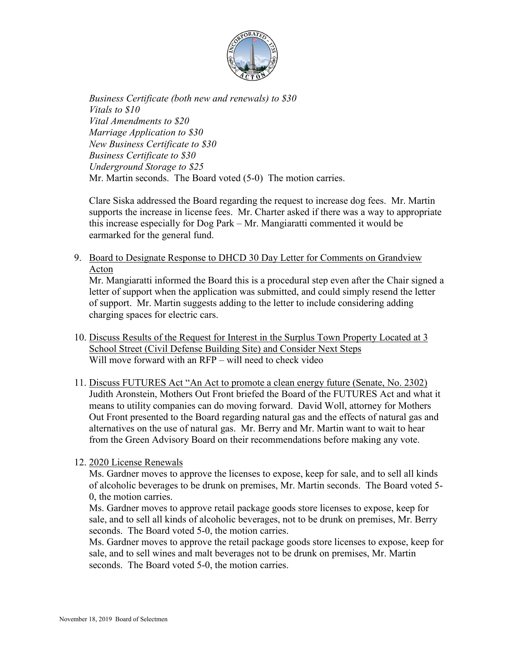

*Business Certificate (both new and renewals) to \$30 Vitals to \$10 Vital Amendments to \$20 Marriage Application to \$30 New Business Certificate to \$30 Business Certificate to \$30 Underground Storage to \$25*  Mr. Martin seconds. The Board voted (5-0) The motion carries.

Clare Siska addressed the Board regarding the request to increase dog fees. Mr. Martin supports the increase in license fees. Mr. Charter asked if there was a way to appropriate this increase especially for Dog Park – Mr. Mangiaratti commented it would be earmarked for the general fund.

9. Board to Designate Response to DHCD 30 Day Letter for Comments on Grandview Acton

Mr. Mangiaratti informed the Board this is a procedural step even after the Chair signed a letter of support when the application was submitted, and could simply resend the letter of support. Mr. Martin suggests adding to the letter to include considering adding charging spaces for electric cars.

- 10. Discuss Results of the Request for Interest in the Surplus Town Property Located at 3 School Street (Civil Defense Building Site) and Consider Next Steps Will move forward with an RFP – will need to check video
- 11. Discuss FUTURES Act "An Act to promote a clean energy future (Senate, No. 2302) Judith Aronstein, Mothers Out Front briefed the Board of the FUTURES Act and what it means to utility companies can do moving forward. David Woll, attorney for Mothers Out Front presented to the Board regarding natural gas and the effects of natural gas and alternatives on the use of natural gas. Mr. Berry and Mr. Martin want to wait to hear from the Green Advisory Board on their recommendations before making any vote.

# 12. 2020 License Renewals

Ms. Gardner moves to approve the licenses to expose, keep for sale, and to sell all kinds of alcoholic beverages to be drunk on premises, Mr. Martin seconds. The Board voted 5- 0, the motion carries.

Ms. Gardner moves to approve retail package goods store licenses to expose, keep for sale, and to sell all kinds of alcoholic beverages, not to be drunk on premises, Mr. Berry seconds. The Board voted 5-0, the motion carries.

Ms. Gardner moves to approve the retail package goods store licenses to expose, keep for sale, and to sell wines and malt beverages not to be drunk on premises, Mr. Martin seconds. The Board voted 5-0, the motion carries.